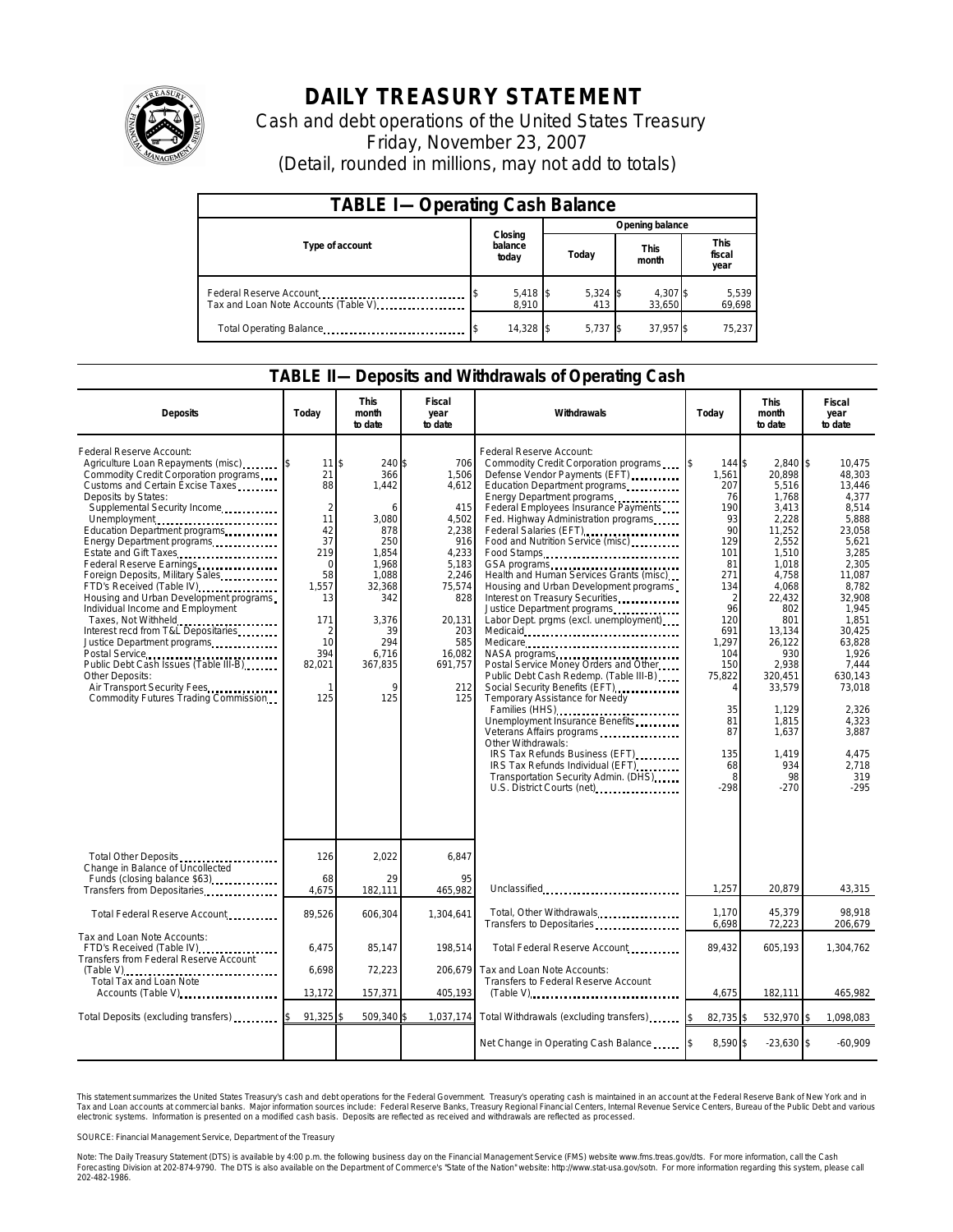

## **DAILY TREASURY STATEMENT**

Cash and debt operations of the United States Treasury Friday, November 23, 2007 (Detail, rounded in millions, may not add to totals)

| <b>TABLE I-Operating Cash Balance</b> |                             |                   |                      |                               |  |  |  |
|---------------------------------------|-----------------------------|-------------------|----------------------|-------------------------------|--|--|--|
|                                       |                             | Opening balance   |                      |                               |  |  |  |
| Type of account                       | Closing<br>balance<br>today | Today             | <b>This</b><br>month | <b>This</b><br>fiscal<br>year |  |  |  |
| Tax and Loan Note Accounts (Table V)  | $5,418$ \$<br>8.910         | $5,324$ \$<br>413 | 4,307 \$<br>33,650   | 5,539<br>69,698               |  |  |  |
| Total Operating Balance               | 14,328 \$                   | 5.737             | 37,957 \$            | 75,237                        |  |  |  |

## **TABLE II—Deposits and Withdrawals of Operating Cash**

| <b>Deposits</b>                                                                                                                                                                                                                                                                                                                                                                                                                                                                                                                                                                                                                                                                                                                          | Todav                                                                                                                                      | <b>This</b><br>month<br>to date                                                                                                                                 | Fiscal<br>year<br>to date                                                                                                                                    | Withdrawals                                                                                                                                                                                                                                                                                                                                                                                                                                                                                                                                                                                                                                                                                                                                                                                                                                                                                                                                                               | Today                                                                                                                                                                                                              | <b>This</b><br>month<br>to date                                                                                                                                                                                                                             | Fiscal<br>year<br>to date                                                                                                                                                                                                                                          |
|------------------------------------------------------------------------------------------------------------------------------------------------------------------------------------------------------------------------------------------------------------------------------------------------------------------------------------------------------------------------------------------------------------------------------------------------------------------------------------------------------------------------------------------------------------------------------------------------------------------------------------------------------------------------------------------------------------------------------------------|--------------------------------------------------------------------------------------------------------------------------------------------|-----------------------------------------------------------------------------------------------------------------------------------------------------------------|--------------------------------------------------------------------------------------------------------------------------------------------------------------|---------------------------------------------------------------------------------------------------------------------------------------------------------------------------------------------------------------------------------------------------------------------------------------------------------------------------------------------------------------------------------------------------------------------------------------------------------------------------------------------------------------------------------------------------------------------------------------------------------------------------------------------------------------------------------------------------------------------------------------------------------------------------------------------------------------------------------------------------------------------------------------------------------------------------------------------------------------------------|--------------------------------------------------------------------------------------------------------------------------------------------------------------------------------------------------------------------|-------------------------------------------------------------------------------------------------------------------------------------------------------------------------------------------------------------------------------------------------------------|--------------------------------------------------------------------------------------------------------------------------------------------------------------------------------------------------------------------------------------------------------------------|
| Federal Reserve Account:<br>Agriculture Loan Repayments (misc)<br>Commodity Credit Corporation programs<br>Customs and Certain Excise Taxes<br>Deposits by States:<br>Supplemental Security Income<br>Unemployment<br>Education Department programs<br>Energy Department programs<br>Estate and Gift Taxes<br>Federal Reserve Earnings.<br>Foreign Deposits, Military Sales<br>FTD's Received (Table IV)<br>Housing and Urban Development programs<br>Individual Income and Employment<br>Taxes, Not Withheld<br>Interest recd from T&L Depositaries<br>Justice Department programs<br>Postal Service<br>Public Debt Cash Issues (Table III-B)<br>Other Deposits:<br>Air Transport Security Fees<br>Commodity Futures Trading Commission | 11<br>21<br>88<br>$\overline{2}$<br>11<br>42<br>37<br>219<br>$\Omega$<br>58<br>1,557<br>13<br>171<br>2<br>10<br>394<br>82,021<br>-1<br>125 | 240 \$<br>366<br>1,442<br>6<br>3,080<br>878<br>250<br>1,854<br>1.968<br>1,088<br>32,368<br>342<br>3,376<br>39<br>294<br>6,716<br>367,835<br>$\mathsf{Q}$<br>125 | 706<br>1,506<br>4,612<br>415<br>4,502<br>2,238<br>916<br>4,233<br>5.183<br>2,246<br>75,574<br>828<br>20,131<br>203<br>585<br>16,082<br>691,757<br>212<br>125 | Federal Reserve Account:<br>Commodity Credit Corporation programs<br>Defense Vendor Payments (EFT)<br>Education Department programs<br>Energy Department programs<br>Federal Employees Insurance Payments<br>Fed. Highway Administration programs<br>Federal Salaries (EFT)<br>Food and Nutrition Service (misc)<br>Food Stamps<br>Health and Human Services Grants (misc)<br>Housing and Urban Development programs<br>Interest on Treasury Securities.<br>Justice Department programs<br>Labor Dept. prgms (excl. unemployment)<br>Medicare<br>NASA programs<br>Postal Service Money Orders and Other<br>Public Debt Cash Redemp. (Table III-B)<br>Social Security Benefits (EFT)<br>Temporary Assistance for Needy<br>Families (HHS)<br>Unemployment Insurance Benefits<br>Veterans Affairs programs<br>Other Withdrawals:<br>IRS Tax Refunds Business (EFT)<br>IRS Tax Refunds Individual (EFT)<br>Transportation Security Admin. (DHS)<br>U.S. District Courts (net) | l\$<br>144 \$<br>1,561<br>207<br>76<br>190<br>93<br>90<br>129<br>101<br>81<br>271<br>134<br>$\overline{2}$<br>96<br>120<br>691<br>1,297<br>104<br>150<br>75,822<br>Δ<br>35<br>81<br>87<br>135<br>68<br>8<br>$-298$ | $2,840$ \$<br>20,898<br>5,516<br>1,768<br>3,413<br>2,228<br>11,252<br>2,552<br>1,510<br>1,018<br>4,758<br>4,068<br>22,432<br>802<br>801<br>13,134<br>26,122<br>930<br>2,938<br>320,451<br>33,579<br>1,129<br>1,815<br>1,637<br>1.419<br>934<br>98<br>$-270$ | 10,475<br>48,303<br>13,446<br>4.377<br>8.514<br>5,888<br>23,058<br>5,621<br>3,285<br>2,305<br>11,087<br>8,782<br>32,908<br>1,945<br>1,851<br>30,425<br>63,828<br>1,926<br>7,444<br>630,143<br>73,018<br>2,326<br>4,323<br>3,887<br>4.475<br>2,718<br>319<br>$-295$ |
| Total Other Deposits<br>Change in Balance of Uncollected<br>Funds (closing balance \$63)                                                                                                                                                                                                                                                                                                                                                                                                                                                                                                                                                                                                                                                 | 126<br>68                                                                                                                                  | 2,022<br>29                                                                                                                                                     | 6,847<br>95                                                                                                                                                  |                                                                                                                                                                                                                                                                                                                                                                                                                                                                                                                                                                                                                                                                                                                                                                                                                                                                                                                                                                           |                                                                                                                                                                                                                    |                                                                                                                                                                                                                                                             |                                                                                                                                                                                                                                                                    |
| Transfers from Depositaries                                                                                                                                                                                                                                                                                                                                                                                                                                                                                                                                                                                                                                                                                                              | 4.675                                                                                                                                      | 182,111                                                                                                                                                         | 465.982                                                                                                                                                      | Unclassified                                                                                                                                                                                                                                                                                                                                                                                                                                                                                                                                                                                                                                                                                                                                                                                                                                                                                                                                                              | 1,257                                                                                                                                                                                                              | 20,879                                                                                                                                                                                                                                                      | 43,315                                                                                                                                                                                                                                                             |
| Total Federal Reserve Account                                                                                                                                                                                                                                                                                                                                                                                                                                                                                                                                                                                                                                                                                                            | 89,526                                                                                                                                     | 606,304                                                                                                                                                         | 1,304,641                                                                                                                                                    | Total, Other Withdrawals<br>Transfers to Depositaries                                                                                                                                                                                                                                                                                                                                                                                                                                                                                                                                                                                                                                                                                                                                                                                                                                                                                                                     | 1.170<br>6,698                                                                                                                                                                                                     | 45,379<br>72,223                                                                                                                                                                                                                                            | 98.918<br>206,679                                                                                                                                                                                                                                                  |
| Tax and Loan Note Accounts:<br>FTD's Received (Table IV)<br><b>Transfers from Federal Reserve Account</b>                                                                                                                                                                                                                                                                                                                                                                                                                                                                                                                                                                                                                                | 6.475                                                                                                                                      | 85.147                                                                                                                                                          | 198.514                                                                                                                                                      | Total Federal Reserve Account                                                                                                                                                                                                                                                                                                                                                                                                                                                                                                                                                                                                                                                                                                                                                                                                                                                                                                                                             | 89.432                                                                                                                                                                                                             | 605.193                                                                                                                                                                                                                                                     | 1.304.762                                                                                                                                                                                                                                                          |
| (Table V)<br>Total Tax and Loan Note<br>Accounts (Table V)                                                                                                                                                                                                                                                                                                                                                                                                                                                                                                                                                                                                                                                                               | 6,698                                                                                                                                      | 72,223                                                                                                                                                          | 206,679                                                                                                                                                      | Tax and Loan Note Accounts:<br>Transfers to Federal Reserve Account                                                                                                                                                                                                                                                                                                                                                                                                                                                                                                                                                                                                                                                                                                                                                                                                                                                                                                       |                                                                                                                                                                                                                    |                                                                                                                                                                                                                                                             |                                                                                                                                                                                                                                                                    |
|                                                                                                                                                                                                                                                                                                                                                                                                                                                                                                                                                                                                                                                                                                                                          | 13,172                                                                                                                                     | 157,371                                                                                                                                                         | 405,193                                                                                                                                                      | $(Table V)$                                                                                                                                                                                                                                                                                                                                                                                                                                                                                                                                                                                                                                                                                                                                                                                                                                                                                                                                                               | 4,675                                                                                                                                                                                                              | 182,111                                                                                                                                                                                                                                                     | 465,982                                                                                                                                                                                                                                                            |
| Total Deposits (excluding transfers)                                                                                                                                                                                                                                                                                                                                                                                                                                                                                                                                                                                                                                                                                                     | 91,325                                                                                                                                     | 509,340 \$                                                                                                                                                      |                                                                                                                                                              | 1,037,174 Total Withdrawals (excluding transfers)                                                                                                                                                                                                                                                                                                                                                                                                                                                                                                                                                                                                                                                                                                                                                                                                                                                                                                                         | 82,735 \$                                                                                                                                                                                                          | 532,970 \$                                                                                                                                                                                                                                                  | 1,098,083                                                                                                                                                                                                                                                          |
|                                                                                                                                                                                                                                                                                                                                                                                                                                                                                                                                                                                                                                                                                                                                          |                                                                                                                                            |                                                                                                                                                                 |                                                                                                                                                              | Net Change in Operating Cash Balance                                                                                                                                                                                                                                                                                                                                                                                                                                                                                                                                                                                                                                                                                                                                                                                                                                                                                                                                      | 8,590\$                                                                                                                                                                                                            | $-23,630$ \$                                                                                                                                                                                                                                                | $-60,909$                                                                                                                                                                                                                                                          |

This statement summarizes the United States Treasury's cash and debt operations for the Federal Government. Treasury's operating cash is maintained in an account at the Federal Reserve Bank of New York and in<br>Tax and Loan

SOURCE: Financial Management Service, Department of the Treasury

Note: The Daily Treasury Statement (DTS) is available by 4:00 p.m. the following business day on the Financial Management Service (FMS) website www.fms.treas.gov/dts. For more information, call the Cash<br>Forecasting Divisio 202-482-1986.